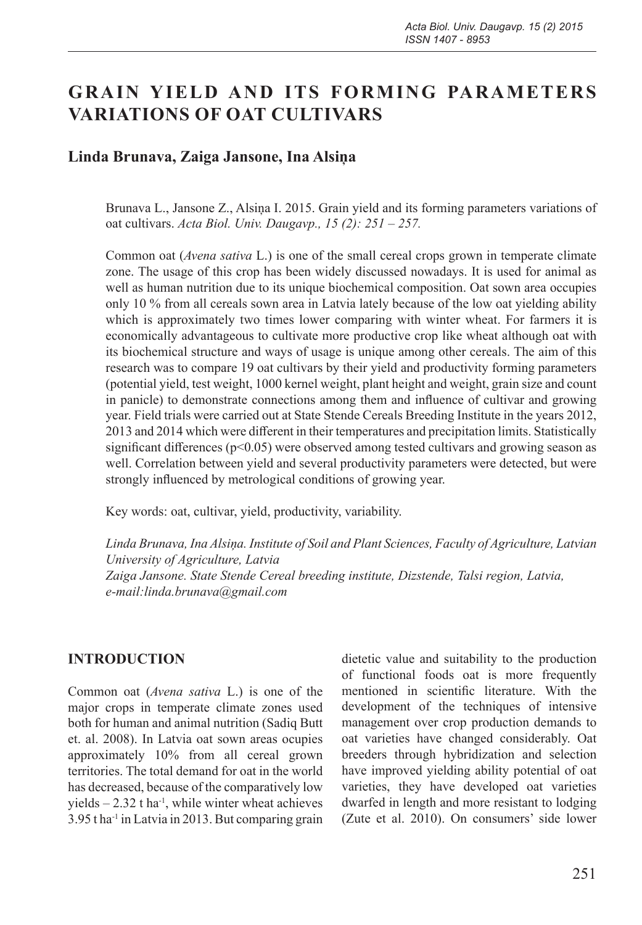# **GRAIN YIELD AND ITS FORMING PARAMETERS VARIATIONS OF OAT CULTIVARS**

# **Linda Brunava, Zaiga Jansone, Ina Alsiņa**

Brunava L., Jansone Z., Alsiņa I. 2015. Grain yield and its forming parameters variations of oat cultivars. *Acta Biol. Univ. Daugavp., 15 (2): 251 – 257.*

Common oat (*Avena sativa* L.) is one of the small cereal crops grown in temperate climate zone. The usage of this crop has been widely discussed nowadays. It is used for animal as well as human nutrition due to its unique biochemical composition. Oat sown area occupies only 10 % from all cereals sown area in Latvia lately because of the low oat yielding ability which is approximately two times lower comparing with winter wheat. For farmers it is economically advantageous to cultivate more productive crop like wheat although oat with its biochemical structure and ways of usage is unique among other cereals. The aim of this research was to compare 19 oat cultivars by their yield and productivity forming parameters (potential yield, test weight, 1000 kernel weight, plant height and weight, grain size and count in panicle) to demonstrate connections among them and influence of cultivar and growing year. Field trials were carried out at State Stende Cereals Breeding Institute in the years 2012, 2013 and 2014 which were different in their temperatures and precipitation limits. Statistically significant differences ( $p$ <0.05) were observed among tested cultivars and growing season as well. Correlation between yield and several productivity parameters were detected, but were strongly influenced by metrological conditions of growing year.

Key words: oat, cultivar, yield, productivity, variability.

*Linda Brunava, Ina Alsiņa. Institute of Soil and Plant Sciences, Faculty of Agriculture, Latvian University of Agriculture, Latvia Zaiga Jansone. State Stende Cereal breeding institute, Dizstende, Talsi region, Latvia, e-mail:linda.brunava@gmail.com*

#### **INTRODUCTION**

Common oat (*Avena sativa* L.) is one of the major crops in temperate climate zones used both for human and animal nutrition (Sadiq Butt et. al. 2008). In Latvia oat sown areas ocupies approximately 10% from all cereal grown territories. The total demand for oat in the world has decreased, because of the comparatively low yields  $-2.32$  t ha<sup>-1</sup>, while winter wheat achieves 3.95 t ha-1 in Latvia in 2013. But comparing grain

dietetic value and suitability to the production of functional foods oat is more frequently mentioned in scientific literature. With the development of the techniques of intensive management over crop production demands to oat varieties have changed considerably. Oat breeders through hybridization and selection have improved yielding ability potential of oat varieties, they have developed oat varieties dwarfed in length and more resistant to lodging (Zute et al. 2010). On consumers' side lower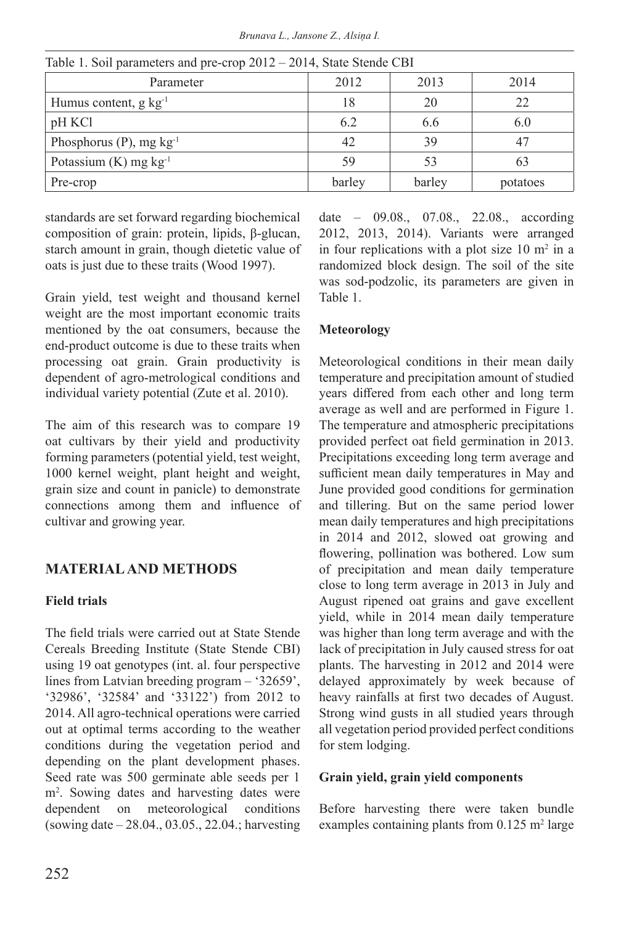*Brunava L., Jansone Z., Alsiņa I.*

| Parameter                          | 2012   | 2013   | 2014     |  |
|------------------------------------|--------|--------|----------|--|
| Humus content, $g \text{ kg}^{-1}$ | 18     | 20     |          |  |
| pH KCl                             | 6.2    | 6.6    | 6.0      |  |
| Phosphorus (P), $mg \, kg^{-1}$    | 42     | 39     |          |  |
| Potassium $(K)$ mg $kg^{-1}$       | 59     | 53     | 63       |  |
| Pre-crop                           | barley | barley | potatoes |  |

Table 1. Soil parameters and pre-crop 2012 – 2014, State Stende CBI

standards are set forward regarding biochemical composition of grain: protein, lipids, β-glucan, starch amount in grain, though dietetic value of oats is just due to these traits (Wood 1997).

Grain yield, test weight and thousand kernel weight are the most important economic traits mentioned by the oat consumers, because the end-product outcome is due to these traits when processing oat grain. Grain productivity is dependent of agro-metrological conditions and individual variety potential (Zute et al. 2010).

The aim of this research was to compare 19 oat cultivars by their yield and productivity forming parameters (potential yield, test weight, 1000 kernel weight, plant height and weight, grain size and count in panicle) to demonstrate connections among them and influence of cultivar and growing year.

# **MATERIAL AND METHODS**

# **Field trials**

The field trials were carried out at State Stende Cereals Breeding Institute (State Stende CBI) using 19 oat genotypes (int. al. four perspective lines from Latvian breeding program – '32659', '32986', '32584' and '33122') from 2012 to 2014. All agro-technical operations were carried out at optimal terms according to the weather conditions during the vegetation period and depending on the plant development phases. Seed rate was 500 germinate able seeds per 1 m2 . Sowing dates and harvesting dates were dependent on meteorological conditions (sowing date – 28.04., 03.05., 22.04.; harvesting date – 09.08., 07.08., 22.08., according 2012, 2013, 2014). Variants were arranged in four replications with a plot size  $10 \text{ m}^2$  in a randomized block design. The soil of the site was sod-podzolic, its parameters are given in Table 1.

# **Meteorology**

Meteorological conditions in their mean daily temperature and precipitation amount of studied years differed from each other and long term average as well and are performed in Figure 1. The temperature and atmospheric precipitations provided perfect oat field germination in 2013. Precipitations exceeding long term average and sufficient mean daily temperatures in May and June provided good conditions for germination and tillering. But on the same period lower mean daily temperatures and high precipitations in 2014 and 2012, slowed oat growing and flowering, pollination was bothered. Low sum of precipitation and mean daily temperature close to long term average in 2013 in July and August ripened oat grains and gave excellent yield, while in 2014 mean daily temperature was higher than long term average and with the lack of precipitation in July caused stress for oat plants. The harvesting in 2012 and 2014 were delayed approximately by week because of heavy rainfalls at first two decades of August. Strong wind gusts in all studied years through all vegetation period provided perfect conditions for stem lodging.

# **Grain yield, grain yield components**

Before harvesting there were taken bundle examples containing plants from  $0.125$  m<sup>2</sup> large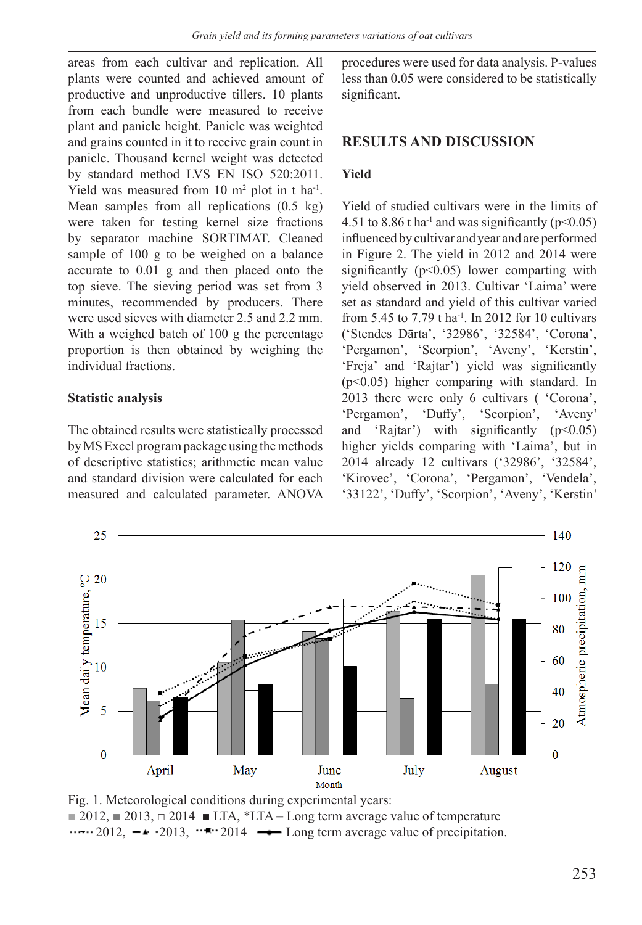areas from each cultivar and replication. All plants were counted and achieved amount of productive and unproductive tillers. 10 plants from each bundle were measured to receive plant and panicle height. Panicle was weighted and grains counted in it to receive grain count in panicle. Thousand kernel weight was detected by standard method LVS EN ISO 520:2011. Yield was measured from  $10 \text{ m}^2$  plot in t ha<sup>-1</sup>. Mean samples from all replications (0.5 kg) were taken for testing kernel size fractions by separator machine SORTIMAT. Cleaned sample of 100 g to be weighed on a balance accurate to 0.01 g and then placed onto the top sieve. The sieving period was set from 3 minutes, recommended by producers. There were used sieves with diameter 2.5 and 2.2 mm. With a weighed batch of 100 g the percentage proportion is then obtained by weighing the individual fractions.

#### **Statistic analysis**

The obtained results were statistically processed by MS Excel program package using the methods of descriptive statistics; arithmetic mean value and standard division were calculated for each measured and calculated parameter. ANOVA procedures were used for data analysis. P-values less than 0.05 were considered to be statistically significant.

### **RESULTS AND DISCUSSION**

#### **Yield**

Yield of studied cultivars were in the limits of 4.51 to 8.86 t ha<sup>-1</sup> and was significantly ( $p$ <0.05) influenced by cultivar and year and are performed in Figure 2. The yield in 2012 and 2014 were significantly (p<0.05) lower comparting with yield observed in 2013. Cultivar 'Laima' were set as standard and yield of this cultivar varied from 5.45 to 7.79 t ha<sup>-1</sup>. In 2012 for 10 cultivars ('Stendes Dārta', '32986', '32584', 'Corona', 'Pergamon', 'Scorpion', 'Aveny', 'Kerstin', 'Freja' and 'Rajtar') yield was significantly (p<0.05) higher comparing with standard. In 2013 there were only 6 cultivars ( 'Corona', 'Pergamon', 'Duffy', 'Scorpion', 'Aveny' and 'Rajtar') with significantly  $(p<0.05)$ higher yields comparing with 'Laima', but in 2014 already 12 cultivars ('32986', '32584', 'Kirovec', 'Corona', 'Pergamon', 'Vendela', '33122', 'Duffy', 'Scorpion', 'Aveny', 'Kerstin'



Fig. 1. Meteorological conditions during experimental years:  $\Box$  2012,  $\Box$  2013,  $\Box$  2014  $\Box$  LTA, \*LTA – Long term average value of temperature  $\cdots$  2012,  $-\cdot$  2013,  $\cdots$  2014  $\rightarrow$  Long term average value of precipitation.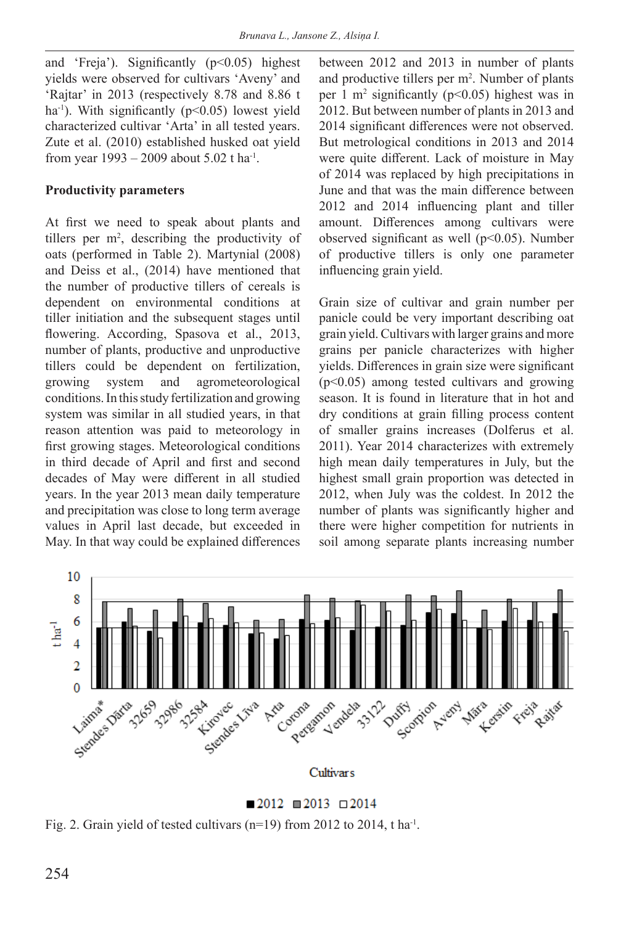and 'Freja'). Significantly (p<0.05) highest yields were observed for cultivars 'Aveny' and 'Rajtar' in 2013 (respectively 8.78 and 8.86 t ha<sup>-1</sup>). With significantly ( $p$ <0.05) lowest yield characterized cultivar 'Arta' in all tested years. Zute et al. (2010) established husked oat yield from year 1993 – 2009 about 5.02 t ha-1.

# **Productivity parameters**

At first we need to speak about plants and tillers per  $m^2$ , describing the productivity of oats (performed in Table 2). Martynial (2008) and Deiss et al., (2014) have mentioned that the number of productive tillers of cereals is dependent on environmental conditions at tiller initiation and the subsequent stages until flowering. According, Spasova et al., 2013, number of plants, productive and unproductive tillers could be dependent on fertilization, growing system and agrometeorological conditions. In this study fertilization and growing system was similar in all studied years, in that reason attention was paid to meteorology in first growing stages. Meteorological conditions in third decade of April and first and second decades of May were different in all studied years. In the year 2013 mean daily temperature and precipitation was close to long term average values in April last decade, but exceeded in May. In that way could be explained differences

between 2012 and 2013 in number of plants and productive tillers per  $m^2$ . Number of plants per 1 m2 significantly (p<0.05) highest was in 2012. But between number of plants in 2013 and 2014 significant differences were not observed. But metrological conditions in 2013 and 2014 were quite different. Lack of moisture in May of 2014 was replaced by high precipitations in June and that was the main difference between 2012 and 2014 influencing plant and tiller amount. Differences among cultivars were observed significant as well ( $p$ <0.05). Number of productive tillers is only one parameter influencing grain yield.

Grain size of cultivar and grain number per panicle could be very important describing oat grain yield. Cultivars with larger grains and more grains per panicle characterizes with higher yields. Differences in grain size were significant  $(p<0.05)$  among tested cultivars and growing season. It is found in literature that in hot and dry conditions at grain filling process content of smaller grains increases (Dolferus et al. 2011). Year 2014 characterizes with extremely high mean daily temperatures in July, but the highest small grain proportion was detected in 2012, when July was the coldest. In 2012 the number of plants was significantly higher and there were higher competition for nutrients in soil among separate plants increasing number



 $\blacksquare$  2012  $\blacksquare$  2013  $\Box$  2014

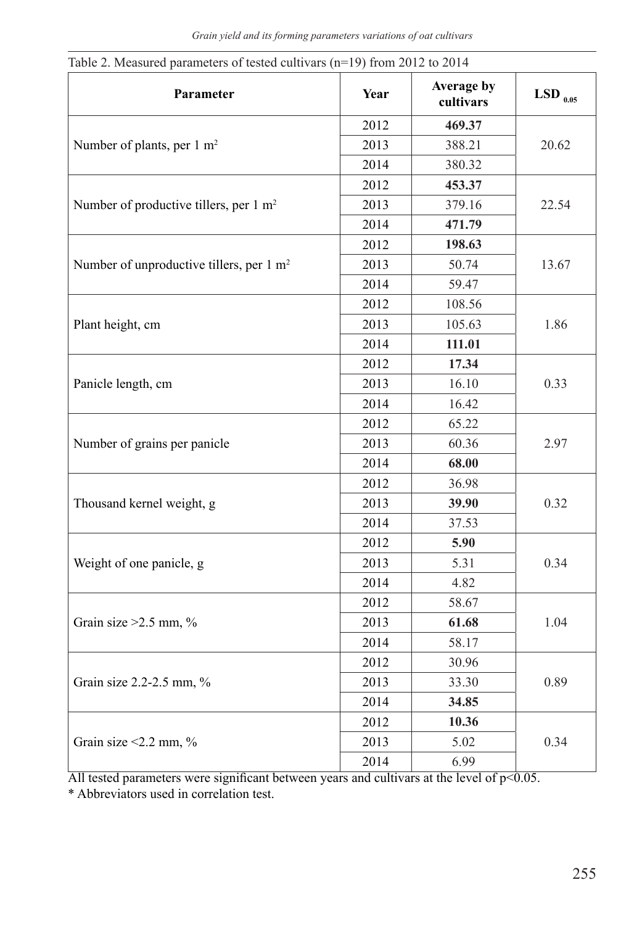| Table 2. Measured parameters of tested cultivars ( $n=19$ ) from 2012 to 2014<br>Parameter | Year | Average by<br>cultivars | $\mathrm{LSD}_{_{0.05}}$ |
|--------------------------------------------------------------------------------------------|------|-------------------------|--------------------------|
|                                                                                            | 2012 | 469.37                  |                          |
| Number of plants, per 1 m <sup>2</sup>                                                     | 2013 | 388.21                  | 20.62                    |
|                                                                                            | 2014 | 380.32                  |                          |
|                                                                                            | 2012 | 453.37                  |                          |
| Number of productive tillers, per 1 m <sup>2</sup>                                         | 2013 | 379.16                  | 22.54                    |
|                                                                                            | 2014 | 471.79                  |                          |
| Number of unproductive tillers, per 1 m <sup>2</sup>                                       | 2012 | 198.63                  | 13.67                    |
|                                                                                            | 2013 | 50.74                   |                          |
|                                                                                            | 2014 | 59.47                   |                          |
| Plant height, cm                                                                           | 2012 | 108.56                  | 1.86                     |
|                                                                                            | 2013 | 105.63                  |                          |
|                                                                                            | 2014 | 111.01                  |                          |
| Panicle length, cm                                                                         | 2012 | 17.34                   | 0.33                     |
|                                                                                            | 2013 | 16.10                   |                          |
|                                                                                            | 2014 | 16.42                   |                          |
| Number of grains per panicle                                                               | 2012 | 65.22                   | 2.97                     |
|                                                                                            | 2013 | 60.36                   |                          |
|                                                                                            | 2014 | 68.00                   |                          |
| Thousand kernel weight, g                                                                  | 2012 | 36.98                   | 0.32                     |
|                                                                                            | 2013 | 39.90                   |                          |
|                                                                                            | 2014 | 37.53                   |                          |
| Weight of one panicle, g                                                                   | 2012 | 5.90                    | 0.34                     |
|                                                                                            | 2013 | 5.31                    |                          |
|                                                                                            | 2014 | 4.82                    |                          |
| Grain size $>2.5$ mm, %                                                                    | 2012 | 58.67                   |                          |
|                                                                                            | 2013 | 61.68                   | 1.04                     |
|                                                                                            | 2014 | 58.17                   |                          |
| Grain size $2.2$ -2.5 mm, $\%$                                                             | 2012 | 30.96                   | 0.89                     |
|                                                                                            | 2013 | 33.30                   |                          |
|                                                                                            | 2014 | 34.85                   |                          |
| Grain size $\leq$ 2.2 mm, %                                                                | 2012 | 10.36                   | 0.34                     |
|                                                                                            | 2013 | 5.02                    |                          |
|                                                                                            | 2014 | 6.99                    |                          |

Table 2. Measured parameters of tested cultivars (n=19) from 2012 to 2014

All tested parameters were significant between years and cultivars at the level of p<0.05.

\* Abbreviators used in correlation test.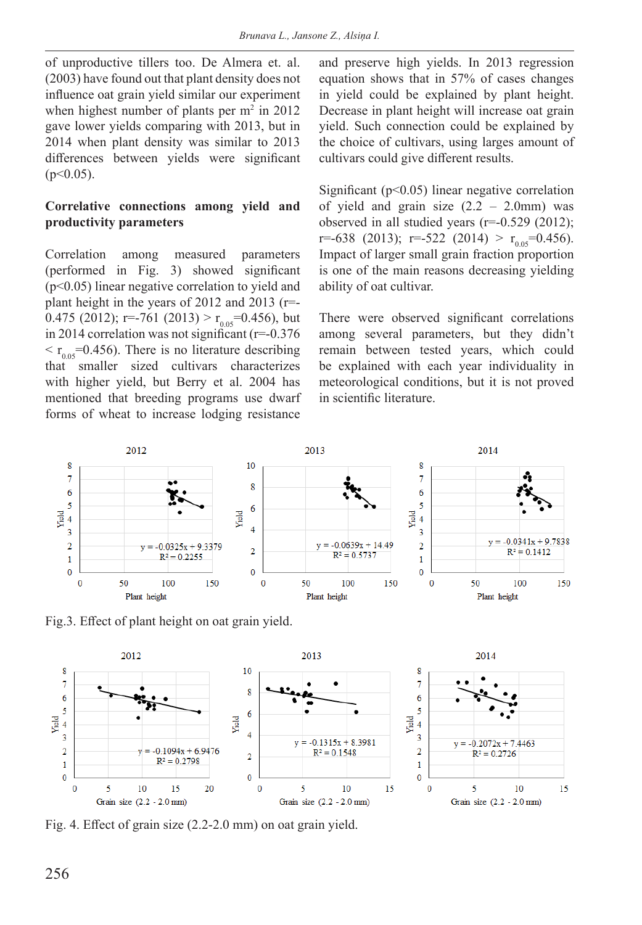of unproductive tillers too. De Almera et. al. (2003) have found out that plant density does not influence oat grain yield similar our experiment when highest number of plants per  $m<sup>2</sup>$  in 2012 gave lower yields comparing with 2013, but in 2014 when plant density was similar to 2013 differences between yields were significant  $(p<0.05)$ .

# **Correlative connections among yield and productivity parameters**

Correlation among measured parameters (performed in Fig. 3) showed significant (p<0.05) linear negative correlation to yield and plant height in the years of 2012 and 2013 (r=- 0.475 (2012); r=-761 (2013) >  $r_{0.05}$ =0.456), but in 2014 correlation was not significant (r=-0.376  $\langle r_{0.05} = 0.456$ . There is no literature describing that smaller sized cultivars characterizes with higher yield, but Berry et al. 2004 has mentioned that breeding programs use dwarf forms of wheat to increase lodging resistance

and preserve high yields. In 2013 regression equation shows that in 57% of cases changes in yield could be explained by plant height. Decrease in plant height will increase oat grain yield. Such connection could be explained by the choice of cultivars, using larges amount of cultivars could give different results.

Significant ( $p<0.05$ ) linear negative correlation of yield and grain size  $(2.2 - 2.0)$  was observed in all studied years (r=-0.529 (2012); r=-638 (2013); r=-522 (2014) >  $r_{0.05}$ =0.456). Impact of larger small grain fraction proportion is one of the main reasons decreasing yielding ability of oat cultivar.

There were observed significant correlations among several parameters, but they didn't remain between tested years, which could be explained with each year individuality in meteorological conditions, but it is not proved in scientific literature.



Fig.3. Effect of plant height on oat grain yield.



Fig. 4. Effect of grain size (2.2-2.0 mm) on oat grain yield.